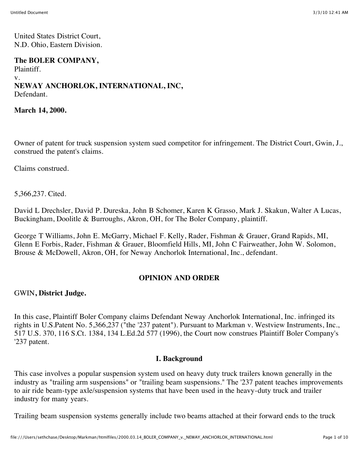United States District Court, N.D. Ohio, Eastern Division.

#### **The BOLER COMPANY,** Plaintiff. v. **NEWAY ANCHORLOK, INTERNATIONAL, INC,** Defendant.

**March 14, 2000.**

Owner of patent for truck suspension system sued competitor for infringement. The District Court, Gwin, J., construed the patent's claims.

Claims construed.

5,366,237. Cited.

David L Drechsler, David P. Dureska, John B Schomer, Karen K Grasso, Mark J. Skakun, Walter A Lucas, Buckingham, Doolitle & Burroughs, Akron, OH, for The Boler Company, plaintiff.

George T Williams, John E. McGarry, Michael F. Kelly, Rader, Fishman & Grauer, Grand Rapids, MI, Glenn E Forbis, Rader, Fishman & Grauer, Bloomfield Hills, MI, John C Fairweather, John W. Solomon, Brouse & McDowell, Akron, OH, for Neway Anchorlok International, Inc., defendant.

#### **OPINION AND ORDER**

GWIN**, District Judge.**

In this case, Plaintiff Boler Company claims Defendant Neway Anchorlok International, Inc. infringed its rights in U.S.Patent No. 5,366,237 ("the '237 patent"). Pursuant to Markman v. Westview Instruments, Inc., 517 U.S. 370, 116 S.Ct. 1384, 134 L.Ed.2d 577 (1996), the Court now construes Plaintiff Boler Company's '237 patent.

#### **I. Background**

This case involves a popular suspension system used on heavy duty truck trailers known generally in the industry as "trailing arm suspensions" or "trailing beam suspensions." The '237 patent teaches improvements to air ride beam-type axle/suspension systems that have been used in the heavy-duty truck and trailer industry for many years.

Trailing beam suspension systems generally include two beams attached at their forward ends to the truck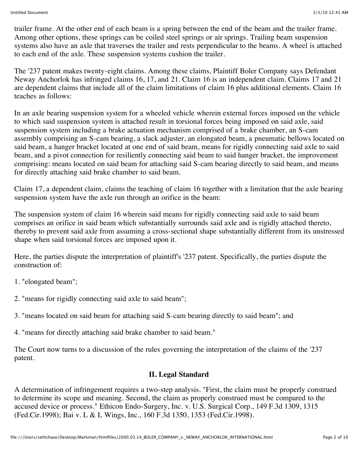trailer frame. At the other end of each beam is a spring between the end of the beam and the trailer frame. Among other options, these springs can be coiled steel springs or air springs. Trailing beam suspension systems also have an axle that traverses the trailer and rests perpendicular to the beams. A wheel is attached to each end of the axle. These suspension systems cushion the trailer.

The '237 patent makes twenty-eight claims. Among these claims, Plaintiff Boler Company says Defendant Neway Anchorlok has infringed claims 16, 17, and 21. Claim 16 is an independent claim. Claims 17 and 21 are dependent claims that include all of the claim limitations of claim 16 plus additional elements. Claim 16 teaches as follows:

In an axle bearing suspension system for a wheeled vehicle wherein external forces imposed on the vehicle to which said suspension system is attached result in torsional forces being imposed on said axle, said suspension system including a brake actuation mechanism comprised of a brake chamber, an S-cam assembly comprising an S-cam bearing, a slack adjuster, an elongated beam, a pneumatic bellows located on said beam, a hanger bracket located at one end of said beam, means for rigidly connecting said axle to said beam, and a pivot connection for resiliently connecting said beam to said hanger bracket, the improvement comprising: means located on said beam for attaching said S-cam bearing directly to said beam, and means for directly attaching said brake chamber to said beam.

Claim 17, a dependent claim, claims the teaching of claim 16 together with a limitation that the axle bearing suspension system have the axle run through an orifice in the beam:

The suspension system of claim 16 wherein said means for rigidly connecting said axle to said beam comprises an orifice in said beam which substantially surrounds said axle and is rigidly attached thereto, thereby to prevent said axle from assuming a cross-sectional shape substantially different from its unstressed shape when said torsional forces are imposed upon it.

Here, the parties dispute the interpretation of plaintiff's '237 patent. Specifically, the parties dispute the construction of:

- 1. "elongated beam";
- 2. "means for rigidly connecting said axle to said beam";
- 3. "means located on said beam for attaching said S-cam bearing directly to said beam"; and
- 4. "means for directly attaching said brake chamber to said beam."

The Court now turns to a discussion of the rules governing the interpretation of the claims of the '237 patent.

### **II. Legal Standard**

A determination of infringement requires a two-step analysis. "First, the claim must be properly construed to determine its scope and meaning. Second, the claim as properly construed must be compared to the accused device or process." Ethicon Endo-Surgery, Inc. v. U.S. Surgical Corp., 149 F.3d 1309, 1315 (Fed.Cir.1998); Bai v. L & L Wings, Inc., 160 F.3d 1350, 1353 (Fed.Cir.1998).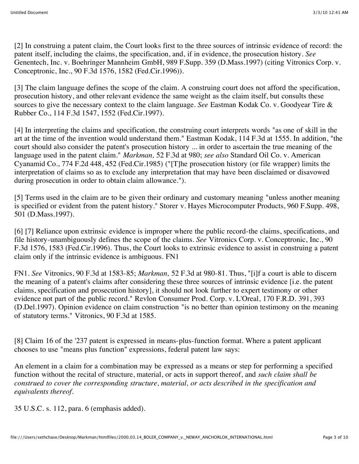[2] In construing a patent claim, the Court looks first to the three sources of intrinsic evidence of record: the patent itself, including the claims, the specification, and, if in evidence, the prosecution history. *See* Genentech, Inc. v. Boehringer Mannheim GmbH, 989 F.Supp. 359 (D.Mass.1997) (citing Vitronics Corp. v. Conceptronic, Inc., 90 F.3d 1576, 1582 (Fed.Cir.1996)).

[3] The claim language defines the scope of the claim. A construing court does not afford the specification, prosecution history, and other relevant evidence the same weight as the claim itself, but consults these sources to give the necessary context to the claim language. *See* Eastman Kodak Co. v. Goodyear Tire & Rubber Co., 114 F.3d 1547, 1552 (Fed.Cir.1997).

[4] In interpreting the claims and specification, the construing court interprets words "as one of skill in the art at the time of the invention would understand them." Eastman Kodak, 114 F.3d at 1555. In addition, "the court should also consider the patent's prosecution history ... in order to ascertain the true meaning of the language used in the patent claim." *Markman,* 52 F.3d at 980; *see also* Standard Oil Co. v. American Cyanamid Co., 774 F.2d 448, 452 (Fed.Cir.1985) ("[T]he prosecution history (or file wrapper) limits the interpretation of claims so as to exclude any interpretation that may have been disclaimed or disavowed during prosecution in order to obtain claim allowance.").

[5] Terms used in the claim are to be given their ordinary and customary meaning "unless another meaning is specified or evident from the patent history." Storer v. Hayes Microcomputer Products, 960 F.Supp. 498, 501 (D.Mass.1997).

[6] [7] Reliance upon extrinsic evidence is improper where the public record-the claims, specifications, and file history-unambiguously defines the scope of the claims. *See* Vitronics Corp. v. Conceptronic, Inc., 90 F.3d 1576, 1583 (Fed.Cir.1996). Thus, the Court looks to extrinsic evidence to assist in construing a patent claim only if the intrinsic evidence is ambiguous. FN1

FN1. *See* Vitronics, 90 F.3d at 1583-85; *Markman,* 52 F.3d at 980-81. Thus, "[i]f a court is able to discern the meaning of a patent's claims after considering these three sources of intrinsic evidence [i.e. the patent claims, specification and prosecution history], it should not look further to expert testimony or other evidence not part of the public record." Revlon Consumer Prod. Corp. v. L'Oreal, 170 F.R.D. 391, 393 (D.Del.1997). Opinion evidence on claim construction "is no better than opinion testimony on the meaning of statutory terms." Vitronics, 90 F.3d at 1585.

[8] Claim 16 of the '237 patent is expressed in means-plus-function format. Where a patent applicant chooses to use "means plus function" expressions, federal patent law says:

An element in a claim for a combination may be expressed as a means or step for performing a specified function without the recital of structure, material, or acts in support thereof, and *such claim shall be construed to cover the corresponding structure, material, or acts described in the specification and equivalents thereof.*

35 U.S.C. s. 112, para. 6 (emphasis added).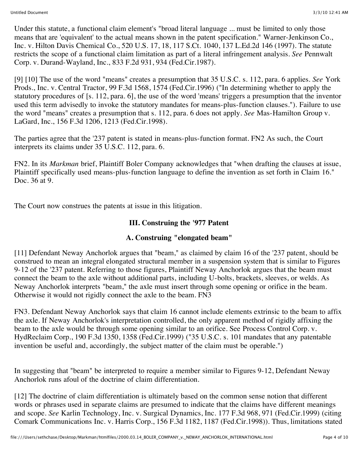Under this statute, a functional claim element's "broad literal language ... must be limited to only those means that are 'equivalent' to the actual means shown in the patent specification." Warner-Jenkinson Co., Inc. v. Hilton Davis Chemical Co., 520 U.S. 17, 18, 117 S.Ct. 1040, 137 L.Ed.2d 146 (1997). The statute restricts the scope of a functional claim limitation as part of a literal infringement analysis. *See* Pennwalt Corp. v. Durand-Wayland, Inc., 833 F.2d 931, 934 (Fed.Cir.1987).

[9] [10] The use of the word "means" creates a presumption that 35 U.S.C. s. 112, para. 6 applies. *See* York Prods., Inc. v. Central Tractor, 99 F.3d 1568, 1574 (Fed.Cir.1996) ("In determining whether to apply the statutory procedures of [s. 112, para. 6], the use of the word 'means' triggers a presumption that the inventor used this term advisedly to invoke the statutory mandates for means-plus-function clauses."). Failure to use the word "means" creates a presumption that s. 112, para. 6 does not apply. *See* Mas-Hamilton Group v. LaGard, Inc., 156 F.3d 1206, 1213 (Fed.Cir.1998).

The parties agree that the '237 patent is stated in means-plus-function format. FN2 As such, the Court interprets its claims under 35 U.S.C. 112, para. 6.

FN2. In its *Markman* brief, Plaintiff Boler Company acknowledges that "when drafting the clauses at issue, Plaintiff specifically used means-plus-function language to define the invention as set forth in Claim 16." Doc. 36 at 9.

The Court now construes the patents at issue in this litigation.

## **III. Construing the '977 Patent**

## **A. Construing "elongated beam"**

[11] Defendant Neway Anchorlok argues that "beam," as claimed by claim 16 of the '237 patent, should be construed to mean an integral elongated structural member in a suspension system that is similar to Figures 9-12 of the '237 patent. Referring to those figures, Plaintiff Neway Anchorlok argues that the beam must connect the beam to the axle without additional parts, including U-bolts, brackets, sleeves, or welds. As Neway Anchorlok interprets "beam," the axle must insert through some opening or orifice in the beam. Otherwise it would not rigidly connect the axle to the beam. FN3

FN3. Defendant Neway Anchorlok says that claim 16 cannot include elements extrinsic to the beam to affix the axle. If Neway Anchorlok's interpretation controlled, the only apparent method of rigidly affixing the beam to the axle would be through some opening similar to an orifice. See Process Control Corp. v. HydReclaim Corp., 190 F.3d 1350, 1358 (Fed.Cir.1999) ("35 U.S.C. s. 101 mandates that any patentable invention be useful and, accordingly, the subject matter of the claim must be operable.")

In suggesting that "beam" be interpreted to require a member similar to Figures 9-12, Defendant Neway Anchorlok runs afoul of the doctrine of claim differentiation.

[12] The doctrine of claim differentiation is ultimately based on the common sense notion that different words or phrases used in separate claims are presumed to indicate that the claims have different meanings and scope. *See* Karlin Technology, Inc. v. Surgical Dynamics, Inc. 177 F.3d 968, 971 (Fed.Cir.1999) (citing Comark Communications Inc. v. Harris Corp., 156 F.3d 1182, 1187 (Fed.Cir.1998)). Thus, limitations stated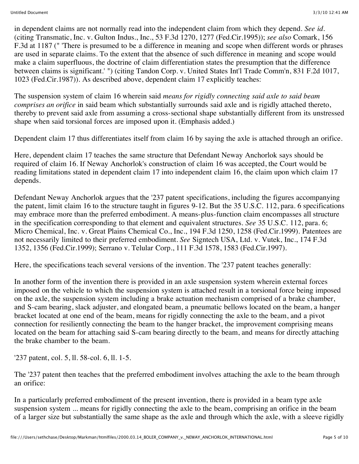in dependent claims are not normally read into the independent claim from which they depend. *See id.* (citing Transmatic, Inc. v. Gulton Indus., Inc., 53 F.3d 1270, 1277 (Fed.Cir.1995)); *see also* Comark, 156 F.3d at 1187 (" 'There is presumed to be a difference in meaning and scope when different words or phrases are used in separate claims. To the extent that the absence of such difference in meaning and scope would make a claim superfluous, the doctrine of claim differentiation states the presumption that the difference between claims is significant.' ") (citing Tandon Corp. v. United States Int'l Trade Comm'n, 831 F.2d 1017, 1023 (Fed.Cir.1987)). As described above, dependent claim 17 explicitly teaches:

The suspension system of claim 16 wherein said *means for rigidly connecting said axle to said beam comprises an orifice* in said beam which substantially surrounds said axle and is rigidly attached thereto, thereby to prevent said axle from assuming a cross-sectional shape substantially different from its unstressed shape when said torsional forces are imposed upon it. (Emphasis added.)

Dependent claim 17 thus differentiates itself from claim 16 by saying the axle is attached through an orifice.

Here, dependent claim 17 teaches the same structure that Defendant Neway Anchorlok says should be required of claim 16. If Neway Anchorlok's construction of claim 16 was accepted, the Court would be reading limitations stated in dependent claim 17 into independent claim 16, the claim upon which claim 17 depends.

Defendant Neway Anchorlok argues that the '237 patent specifications, including the figures accompanying the patent, limit claim 16 to the structure taught in figures 9-12. But the 35 U.S.C. 112, para. 6 specifications may embrace more than the preferred embodiment. A means-plus-function claim encompasses all structure in the specification corresponding to that element and equivalent structures. *See* 35 U.S.C. 112, para. 6; Micro Chemical, Inc. v. Great Plains Chemical Co., Inc., 194 F.3d 1250, 1258 (Fed.Cir.1999). Patentees are not necessarily limited to their preferred embodiment. *See* Signtech USA, Ltd. v. Vutek, Inc., 174 F.3d 1352, 1356 (Fed.Cir.1999); Serrano v. Telular Corp., 111 F.3d 1578, 1583 (Fed.Cir.1997).

Here, the specifications teach several versions of the invention. The '237 patent teaches generally:

In another form of the invention there is provided in an axle suspension system wherein external forces imposed on the vehicle to which the suspension system is attached result in a torsional force being imposed on the axle, the suspension system including a brake actuation mechanism comprised of a brake chamber, and S-cam bearing, slack adjuster, and elongated beam, a pneumatic bellows located on the beam, a hanger bracket located at one end of the beam, means for rigidly connecting the axle to the beam, and a pivot connection for resiliently connecting the beam to the hanger bracket, the improvement comprising means located on the beam for attaching said S-cam bearing directly to the beam, and means for directly attaching the brake chamber to the beam.

'237 patent, col. 5, ll. 58-col. 6, ll. 1-5.

The '237 patent then teaches that the preferred embodiment involves attaching the axle to the beam through an orifice:

In a particularly preferred embodiment of the present invention, there is provided in a beam type axle suspension system ... means for rigidly connecting the axle to the beam, comprising an orifice in the beam of a larger size but substantially the same shape as the axle and through which the axle, with a sleeve rigidly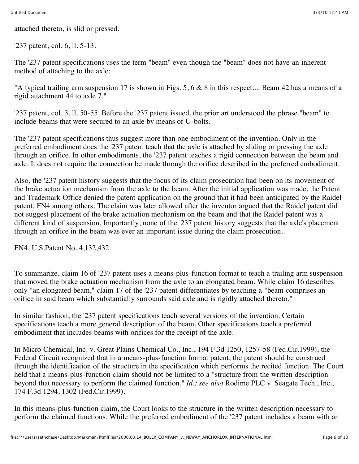attached thereto, is slid or pressed.

'237 patent, col. 6, ll. 5-13.

The '237 patent specifications uses the term "beam" even though the "beam" does not have an inherent method of attaching to the axle:

"A typical trailing arm suspension 17 is shown in Figs. 5, 6 & 8 in this respect.... Beam 42 has a means of a rigid attachment 44 to axle 7."

'237 patent, col. 3, ll. 50-55. Before the '237 patent issued, the prior art understood the phrase "beam" to include beams that were secured to an axle by means of U-bolts.

The '237 patent specifications thus suggest more than one embodiment of the invention. Only in the preferred embodiment does the '237 patent teach that the axle is attached by sliding or pressing the axle through an orifice. In other embodiments, the '237 patent teaches a rigid connection between the beam and axle. It does not require the connection be made through the orifice described in the preferred embodiment.

Also, the '237 patent history suggests that the focus of its claim prosecution had been on its movement of the brake actuation mechanism from the axle to the beam. After the initial application was made, the Patent and Trademark Office denied the patent application on the ground that it had been anticipated by the Raidel patent, FN4 among others. The claim was later allowed after the inventor argued that the Raidel patent did not suggest placement of the brake actuation mechanism on the beam and that the Raidel patent was a different kind of suspension. Importantly, none of the '237 patent history suggests that the axle's placement through an orifice in the beam was ever an important issue during the claim prosecution.

FN4. U.S.Patent No. 4,132,432.

To summarize, claim 16 of '237 patent uses a means-plus-function format to teach a trailing arm suspension that moved the brake actuation mechanism from the axle to an elongated beam. While claim 16 describes only "an elongated beam," claim 17 of the '237 patent differentiates by teaching a "beam comprises an orifice in said beam which substantially surrounds said axle and is rigidly attached thereto."

In similar fashion, the '237 patent specifications teach several versions of the invention. Certain specifications teach a more general description of the beam. Other specifications teach a preferred embodiment that includes beams with orifices for the receipt of the axle.

In Micro Chemical, Inc. v. Great Plains Chemical Co., Inc., 194 F.3d 1250, 1257-58 (Fed.Cir.1999), the Federal Circuit recognized that in a means-plus-function format patent, the patent should be construed through the identification of the structure in the specification which performs the recited function. The Court held that a means-plus-function claim should not be limited to a "structure from the written description beyond that necessary to perform the claimed function." *Id.; see also* Rodime PLC v. Seagate Tech., Inc., 174 F.3d 1294, 1302 (Fed.Cir.1999).

In this means-plus-function claim, the Court looks to the structure in the written description necessary to perform the claimed functions. While the preferred embodiment of the '237 patent includes a beam with an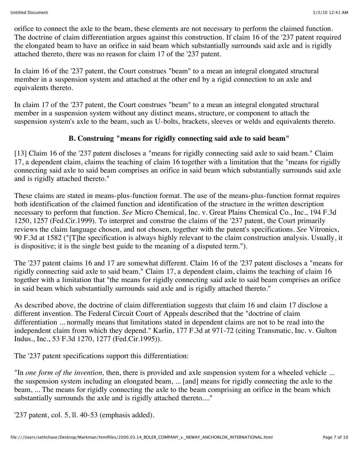orifice to connect the axle to the beam, these elements are not necessary to perform the claimed function. The doctrine of claim differentiation argues against this construction. If claim 16 of the '237 patent required the elongated beam to have an orifice in said beam which substantially surrounds said axle and is rigidly attached thereto, there was no reason for claim 17 of the '237 patent.

In claim 16 of the '237 patent, the Court construes "beam" to a mean an integral elongated structural member in a suspension system and attached at the other end by a rigid connection to an axle and equivalents thereto.

In claim 17 of the '237 patent, the Court construes "beam" to a mean an integral elongated structural member in a suspension system without any distinct means, structure, or component to attach the suspension system's axle to the beam, such as U-bolts, brackets, sleeves or welds and equivalents thereto.

## **B. Construing "means for rigidly connecting said axle to said beam"**

[13] Claim 16 of the '237 patent discloses a "means for rigidly connecting said axle to said beam." Claim 17, a dependent claim, claims the teaching of claim 16 together with a limitation that the "means for rigidly connecting said axle to said beam comprises an orifice in said beam which substantially surrounds said axle and is rigidly attached thereto."

These claims are stated in means-plus-function format. The use of the means-plus-function format requires both identification of the claimed function and identification of the structure in the written description necessary to perform that function. *See* Micro Chemical, Inc. v. Great Plains Chemical Co., Inc., 194 F.3d 1250, 1257 (Fed.Cir.1999). To interpret and construe the claims of the '237 patent, the Court primarily reviews the claim language chosen, and not chosen, together with the patent's specifications. *See* Vitronics, 90 F.3d at 1582 ("[T]he specification is always highly relevant to the claim construction analysis. Usually, it is dispositive; it is the single best guide to the meaning of a disputed term.").

The '237 patent claims 16 and 17 are somewhat different. Claim 16 of the '237 patent discloses a "means for rigidly connecting said axle to said beam." Claim 17, a dependent claim, claims the teaching of claim 16 together with a limitation that "the means for rigidly connecting said axle to said beam comprises an orifice in said beam which substantially surrounds said axle and is rigidly attached thereto."

As described above, the doctrine of claim differentiation suggests that claim 16 and claim 17 disclose a different invention. The Federal Circuit Court of Appeals described that the "doctrine of claim differentiation ... normally means that limitations stated in dependent claims are not to be read into the independent claim from which they depend." Karlin, 177 F.3d at 971-72 (citing Transmatic, Inc. v. Gulton Indus., Inc., 53 F.3d 1270, 1277 (Fed.Cir.1995)).

The '237 patent specifications support this differentiation:

"In *one form of the invention,* then, there is provided and axle suspension system for a wheeled vehicle ... the suspension system including an elongated beam, ... [and] means for rigidly connecting the axle to the beam, ... The means for rigidly connecting the axle to the beam comprising an orifice in the beam which substantially surrounds the axle and is rigidly attached thereto...."

'237 patent, col. 5, ll. 40-53 (emphasis added).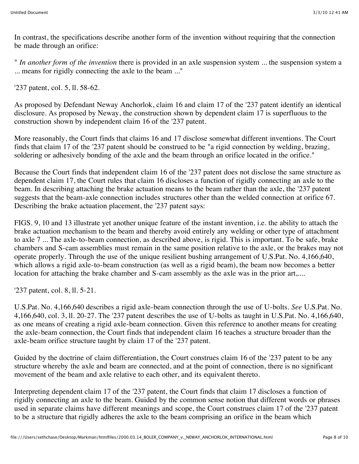In contrast, the specifications describe another form of the invention without requiring that the connection be made through an orifice:

" *In another form of the invention* there is provided in an axle suspension system ... the suspension system a ... means for rigidly connecting the axle to the beam ..."

'237 patent, col. 5, ll. 58-62.

As proposed by Defendant Neway Anchorlok, claim 16 and claim 17 of the '237 patent identify an identical disclosure. As proposed by Neway, the construction shown by dependent claim 17 is superfluous to the construction shown by independent claim 16 of the '237 patent.

More reasonably, the Court finds that claims 16 and 17 disclose somewhat different inventions. The Court finds that claim 17 of the '237 patent should be construed to be "a rigid connection by welding, brazing, soldering or adhesively bonding of the axle and the beam through an orifice located in the orifice."

Because the Court finds that independent claim 16 of the '237 patent does not disclose the same structure as dependent claim 17, the Court rules that claim 16 discloses a function of rigidly connecting an axle to the beam. In describing attaching the brake actuation means to the beam rather than the axle, the '237 patent suggests that the beam-axle connection includes structures other than the welded connection at orifice 67. Describing the brake actuation placement, the '237 patent says:

FIGS. 9, 10 and 13 illustrate yet another unique feature of the instant invention, i.e. the ability to attach the brake actuation mechanism to the beam and thereby avoid entirely any welding or other type of attachment to axle 7 ... The axle-to-beam connection, as described above, is rigid. This is important. To be safe, brake chambers and S-cam assemblies must remain in the same position relative to the axle, or the brakes may not operate properly. Through the use of the unique resilient bushing arrangement of U.S.Pat. No. 4,166,640, which allows a rigid axle-to-beam construction (as well as a rigid beam), the beam now becomes a better location for attaching the brake chamber and S-cam assembly as the axle was in the prior art,....

'237 patent, col. 8, ll. 5-21.

U.S.Pat. No. 4,166,640 describes a rigid axle-beam connection through the use of U-bolts. *See* U.S.Pat. No. 4,166,640, col. 3, ll. 20-27. The '237 patent describes the use of U-bolts as taught in U.S.Pat. No. 4,166,640, as one means of creating a rigid axle-beam connection. Given this reference to another means for creating the axle-beam connection, the Court finds that independent claim 16 teaches a structure broader than the axle-beam orifice structure taught by claim 17 of the '237 patent.

Guided by the doctrine of claim differentiation, the Court construes claim 16 of the '237 patent to be any structure whereby the axle and beam are connected, and at the point of connection, there is no significant movement of the beam and axle relative to each other, and its equivalent thereto.

Interpreting dependent claim 17 of the '237 patent, the Court finds that claim 17 discloses a function of rigidly connecting an axle to the beam. Guided by the common sense notion that different words or phrases used in separate claims have different meanings and scope, the Court construes claim 17 of the '237 patent to be a structure that rigidly adheres the axle to the beam comprising an orifice in the beam which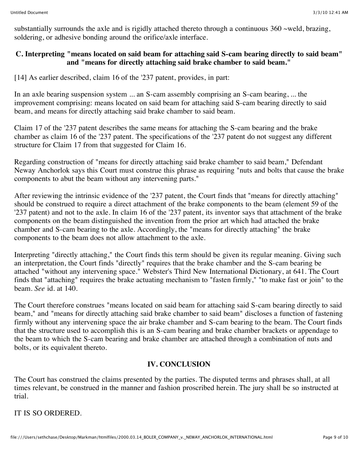substantially surrounds the axle and is rigidly attached thereto through a continuous  $360 \sim$ weld, brazing, soldering, or adhesive bonding around the orifice/axle interface.

### **C. Interpreting "means located on said beam for attaching said S-cam bearing directly to said beam" and "means for directly attaching said brake chamber to said beam."**

[14] As earlier described, claim 16 of the '237 patent, provides, in part:

In an axle bearing suspension system ... an S-cam assembly comprising an S-cam bearing, ... the improvement comprising: means located on said beam for attaching said S-cam bearing directly to said beam, and means for directly attaching said brake chamber to said beam.

Claim 17 of the '237 patent describes the same means for attaching the S-cam bearing and the brake chamber as claim 16 of the '237 patent. The specifications of the '237 patent do not suggest any different structure for Claim 17 from that suggested for Claim 16.

Regarding construction of "means for directly attaching said brake chamber to said beam," Defendant Neway Anchorlok says this Court must construe this phrase as requiring "nuts and bolts that cause the brake components to abut the beam without any intervening parts."

After reviewing the intrinsic evidence of the '237 patent, the Court finds that "means for directly attaching" should be construed to require a direct attachment of the brake components to the beam (element 59 of the '237 patent) and not to the axle. In claim 16 of the '237 patent, its inventor says that attachment of the brake components on the beam distinguished the invention from the prior art which had attached the brake chamber and S-cam bearing to the axle. Accordingly, the "means for directly attaching" the brake components to the beam does not allow attachment to the axle.

Interpreting "directly attaching," the Court finds this term should be given its regular meaning. Giving such an interpretation, the Court finds "directly" requires that the brake chamber and the S-cam bearing be attached "without any intervening space." Webster's Third New International Dictionary, at 641. The Court finds that "attaching" requires the brake actuating mechanism to "fasten firmly," "to make fast or join" to the beam. *See* id. at 140.

The Court therefore construes "means located on said beam for attaching said S-cam bearing directly to said beam," and "means for directly attaching said brake chamber to said beam" discloses a function of fastening firmly without any intervening space the air brake chamber and S-cam bearing to the beam. The Court finds that the structure used to accomplish this is an S-cam bearing and brake chamber brackets or appendage to the beam to which the S-cam bearing and brake chamber are attached through a combination of nuts and bolts, or its equivalent thereto.

# **IV. CONCLUSION**

The Court has construed the claims presented by the parties. The disputed terms and phrases shall, at all times relevant, be construed in the manner and fashion proscribed herein. The jury shall be so instructed at trial.

IT IS SO ORDERED.